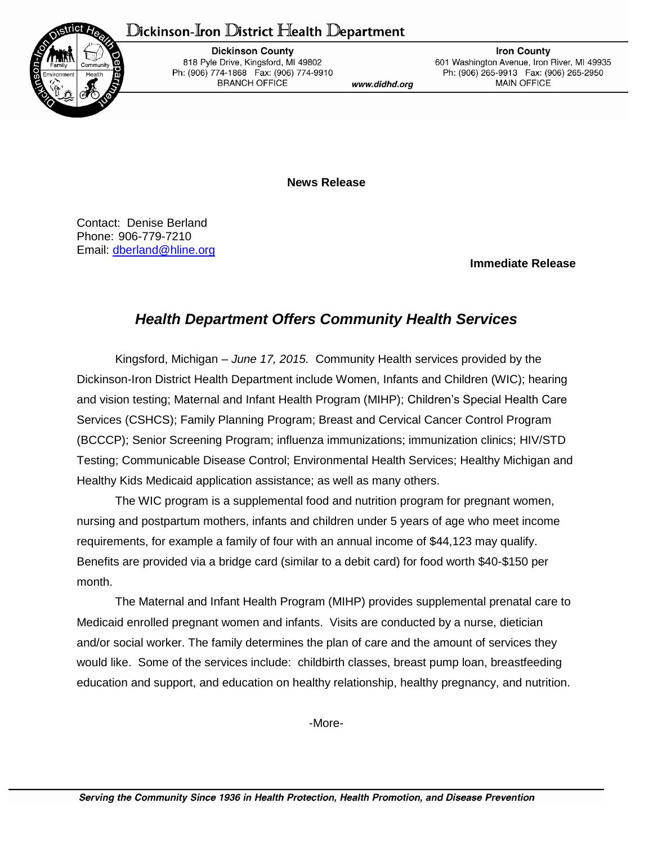## Dickinson-Iron District Health Department



**Dickinson County** 818 Pyle Drive, Kingsford, MI 49802 Ph: (906) 774-1868 Fax: (906) 774-9910 **BRANCH OFFICE** 

www.didhd.org

**Iron County** 601 Washington Avenue, Iron River, MI 49935 Ph: (906) 265-9913 Fax: (906) 265-2950 MAIN OFFICE

**News Release**

Contact: Denise Berland Phone: 906-779-7210 Email: [dberland@hline.org](mailto:dberland@hline.org)

**Immediate Release**

## *Health Department Offers Community Health Services*

Kingsford, Michigan – *June 17, 2015.* Community Health services provided by the Dickinson-Iron District Health Department include Women, Infants and Children (WIC); hearing and vision testing; Maternal and Infant Health Program (MIHP); Children's Special Health Care Services (CSHCS); Family Planning Program; Breast and Cervical Cancer Control Program (BCCCP); Senior Screening Program; influenza immunizations; immunization clinics; HIV/STD Testing; Communicable Disease Control; Environmental Health Services; Healthy Michigan and Healthy Kids Medicaid application assistance; as well as many others.

The WIC program is a supplemental food and nutrition program for pregnant women, nursing and postpartum mothers, infants and children under 5 years of age who meet income requirements, for example a family of four with an annual income of \$44,123 may qualify. Benefits are provided via a bridge card (similar to a debit card) for food worth \$40-\$150 per month.

The Maternal and Infant Health Program (MIHP) provides supplemental prenatal care to Medicaid enrolled pregnant women and infants. Visits are conducted by a nurse, dietician and/or social worker. The family determines the plan of care and the amount of services they would like. Some of the services include: childbirth classes, breast pump loan, breastfeeding education and support, and education on healthy relationship, healthy pregnancy, and nutrition.

-More-